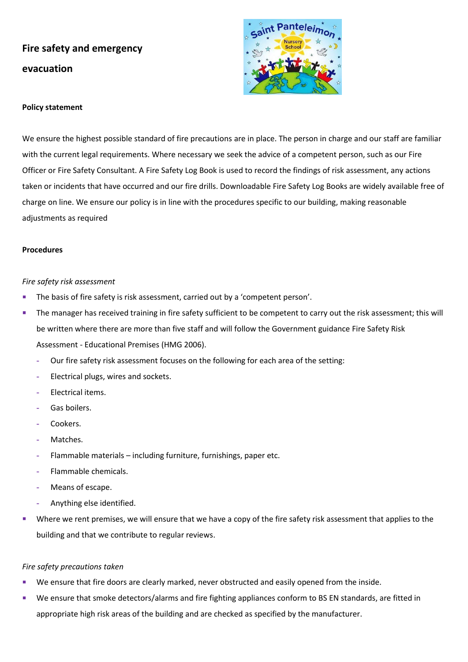# **Fire safety and emergency evacuation**



#### **Policy statement**

We ensure the highest possible standard of fire precautions are in place. The person in charge and our staff are familiar with the current legal requirements. Where necessary we seek the advice of a competent person, such as our Fire Officer or Fire Safety Consultant. A Fire Safety Log Book is used to record the findings of risk assessment, any actions taken or incidents that have occurred and our fire drills. Downloadable Fire Safety Log Books are widely available free of charge on line. We ensure our policy is in line with the procedures specific to our building, making reasonable adjustments as required

#### **Procedures**

#### *Fire safety risk assessment*

- **·** The basis of fire safety is risk assessment, carried out by a 'competent person'.
- **The manager has received training in fire safety sufficient to be competent to carry out the risk assessment; this will** be written where there are more than five staff and will follow the Government guidance Fire Safety Risk Assessment - Educational Premises (HMG 2006).
	- **-** Our fire safety risk assessment focuses on the following for each area of the setting:
	- **-** Electrical plugs, wires and sockets.
	- **-** Electrical items.
	- **-** Gas boilers.
	- **-** Cookers.
	- **-** Matches.
	- **-** Flammable materials including furniture, furnishings, paper etc.
	- **-** Flammable chemicals.
	- **-** Means of escape.
	- **-** Anything else identified.
- Where we rent premises, we will ensure that we have a copy of the fire safety risk assessment that applies to the building and that we contribute to regular reviews.

#### *Fire safety precautions taken*

- We ensure that fire doors are clearly marked, never obstructed and easily opened from the inside.
- We ensure that smoke detectors/alarms and fire fighting appliances conform to BS EN standards, are fitted in appropriate high risk areas of the building and are checked as specified by the manufacturer.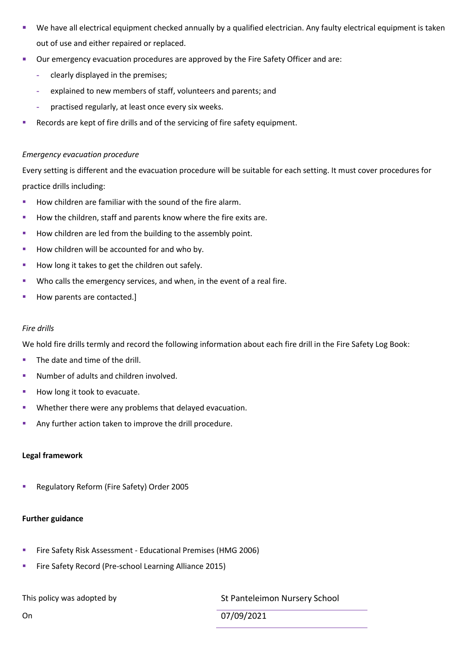- We have all electrical equipment checked annually by a qualified electrician. Any faulty electrical equipment is taken out of use and either repaired or replaced.
- Our emergency evacuation procedures are approved by the Fire Safety Officer and are:
	- **-** clearly displayed in the premises;
	- **-** explained to new members of staff, volunteers and parents; and
	- **-** practised regularly, at least once every six weeks.
- Records are kept of fire drills and of the servicing of fire safety equipment.

## *Emergency evacuation procedure*

Every setting is different and the evacuation procedure will be suitable for each setting. It must cover procedures for practice drills including:

- How children are familiar with the sound of the fire alarm.
- How the children, staff and parents know where the fire exits are.
- How children are led from the building to the assembly point.
- How children will be accounted for and who by.
- How long it takes to get the children out safely.
- Who calls the emergency services, and when, in the event of a real fire.
- How parents are contacted.]

## *Fire drills*

We hold fire drills termly and record the following information about each fire drill in the Fire Safety Log Book:

- The date and time of the drill.
- Number of adults and children involved.
- How long it took to evacuate.
- Whether there were any problems that delayed evacuation.
- Any further action taken to improve the drill procedure.

# **Legal framework**

■ Regulatory Reform (Fire Safety) Order 2005

# **Further guidance**

- **EXECT:** Fire Safety Risk Assessment Educational Premises (HMG 2006)
- Fire Safety Record (Pre-school Learning Alliance 2015)

This policy was adopted by St Panteleimon Nursery School

On 07/09/2021